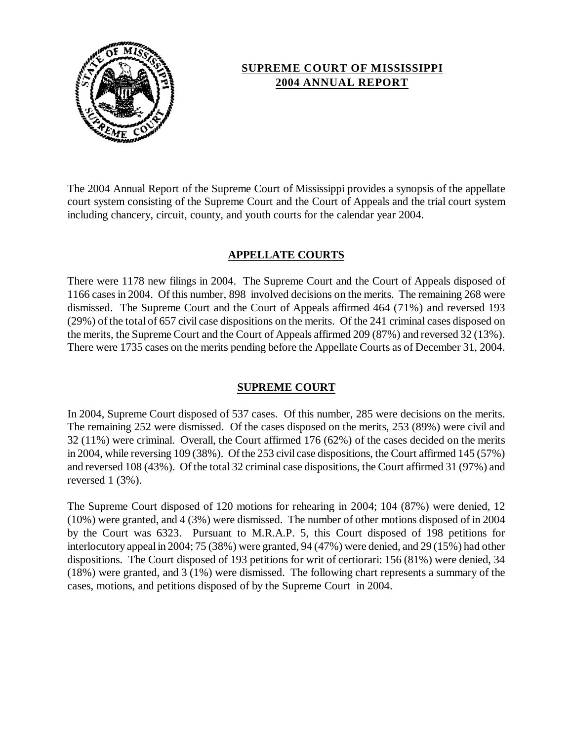

# **SUPREME COURT OF MISSISSIPPI 2004 ANNUAL REPORT**

 The 2004 Annual Report of the Supreme Court of Mississippi provides a synopsis of the appellate court system consisting of the Supreme Court and the Court of Appeals and the trial court system including chancery, circuit, county, and youth courts for the calendar year 2004.

## **APPELLATE COURTS**

 1166 cases in 2004. Of this number, 898 involved decisions on the merits. The remaining 268 were (29%) of the total of 657 civil case dispositions on the merits. Of the 241 criminal cases disposed on the merits, the Supreme Court and the Court of Appeals affirmed 209 (87%) and reversed 32 (13%). There were 1735 cases on the merits pending before the Appellate Courts as of December 31, 2004. There were 1178 new filings in 2004. The Supreme Court and the Court of Appeals disposed of dismissed. The Supreme Court and the Court of Appeals affirmed 464 (71%) and reversed 193

### **SUPREME COURT**

 In 2004, Supreme Court disposed of 537 cases. Of this number, 285 were decisions on the merits. The remaining 252 were dismissed. Of the cases disposed on the merits, 253 (89%) were civil and 32 (11%) were criminal. Overall, the Court affirmed 176 (62%) of the cases decided on the merits and reversed 108 (43%). Of the total 32 criminal case dispositions, the Court affirmed 31 (97%) and in 2004, while reversing 109 (38%). Of the 253 civil case dispositions, the Court affirmed 145 (57%) reversed 1 (3%).

 dispositions. The Court disposed of 193 petitions for writ of certiorari: 156 (81%) were denied, 34 (18%) were granted, and 3 (1%) were dismissed. The following chart represents a summary of the The Supreme Court disposed of 120 motions for rehearing in 2004; 104 (87%) were denied, 12 (10%) were granted, and 4 (3%) were dismissed. The number of other motions disposed of in 2004 by the Court was 6323. Pursuant to M.R.A.P. 5, this Court disposed of 198 petitions for interlocutory appeal in 2004; 75 (38%) were granted, 94 (47%) were denied, and 29 (15%) had other cases, motions, and petitions disposed of by the Supreme Court in 2004.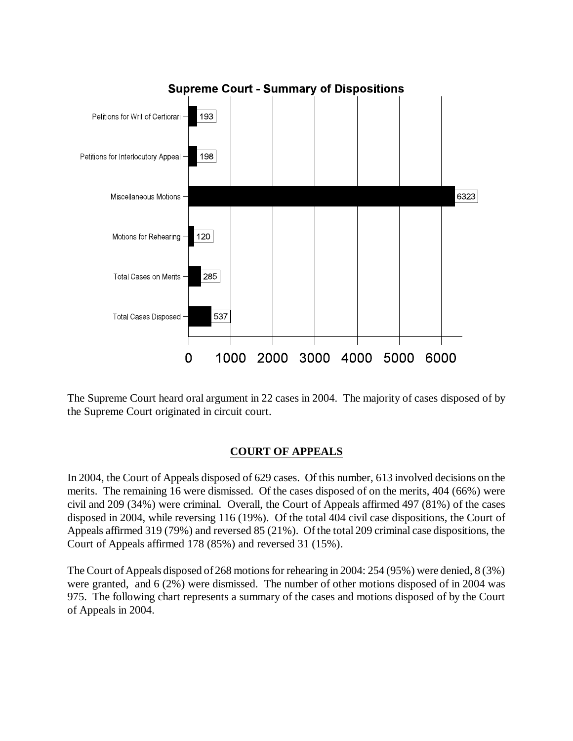

 The Supreme Court heard oral argument in 22 cases in 2004. The majority of cases disposed of by the Supreme Court originated in circuit court.

### **COURT OF APPEALS**

 In 2004, the Court of Appeals disposed of 629 cases. Of this number, 613 involved decisions on the merits. The remaining 16 were dismissed. Of the cases disposed of on the merits, 404 (66%) were disposed in 2004, while reversing 116 (19%). Of the total 404 civil case dispositions, the Court of Appeals affirmed 319 (79%) and reversed 85 (21%). Of the total 209 criminal case dispositions, the civil and 209 (34%) were criminal. Overall, the Court of Appeals affirmed 497 (81%) of the cases Court of Appeals affirmed 178 (85%) and reversed 31 (15%).

 The Court of Appeals disposed of 268 motions for rehearing in 2004: 254 (95%) were denied, 8 (3%) were granted, and 6 (2%) were dismissed. The number of other motions disposed of in 2004 was 975. The following chart represents a summary of the cases and motions disposed of by the Court of Appeals in 2004.